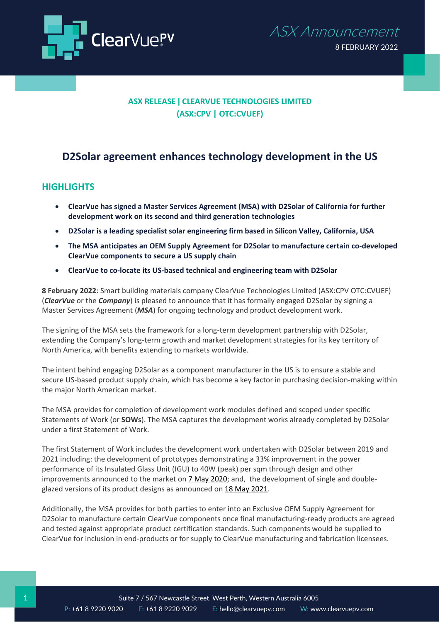

## **ASX RELEASE ǀ CLEARVUE TECHNOLOGIES LIMITED (ASX:CPV | OTC:CVUEF)**

# **D2Solar agreement enhances technology development in the US**

### **HIGHLIGHTS**

- **ClearVue has signed a Master Services Agreement (MSA) with D2Solar of California for further development work on its second and third generation technologies**
- **D2Solar is a leading specialist solar engineering firm based in Silicon Valley, California, USA**
- **The MSA anticipates an OEM Supply Agreement for D2Solar to manufacture certain co-developed ClearVue components to secure a US supply chain**
- **ClearVue to co-locate its US-based technical and engineering team with D2Solar**

**8 February 2022**: Smart building materials company ClearVue Technologies Limited (ASX:CPV OTC:CVUEF) (*ClearVue* or the *Company*) is pleased to announce that it has formally engaged D2Solar by signing a Master Services Agreement (*MSA*) for ongoing technology and product development work.

The signing of the MSA sets the framework for a long-term development partnership with D2Solar, extending the Company's long-term growth and market development strategies for its key territory of North America, with benefits extending to markets worldwide.

The intent behind engaging D2Solar as a component manufacturer in the US is to ensure a stable and secure US-based product supply chain, which has become a key factor in purchasing decision-making within the major North American market.

The MSA provides for completion of development work modules defined and scoped under specific Statements of Work (or **SOWs**). The MSA captures the development works already completed by D2Solar under a first Statement of Work.

The first Statement of Work includes the development work undertaken with D2Solar between 2019 and 2021 including: the development of prototypes demonstrating a 33% improvement in the power performance of its Insulated Glass Unit (IGU) to 40W (peak) per sqm through design and other improvements announced to the market on [7 May 2020;](https://app.sharelinktechnologies.com/announcement/asx/9beee22b807d8a74265a6d6db97b96e1) and, the development of single and doubleglazed versions of its product designs as announced on [18 May 2021.](https://app.sharelinktechnologies.com/announcement/asx/473cdf37db4507120c7c5b048a791b60)

Additionally, the MSA provides for both parties to enter into an Exclusive OEM Supply Agreement for D2Solar to manufacture certain ClearVue components once final manufacturing-ready products are agreed and tested against appropriate product certification standards. Such components would be supplied to ClearVue for inclusion in end-products or for supply to ClearVue manufacturing and fabrication licensees.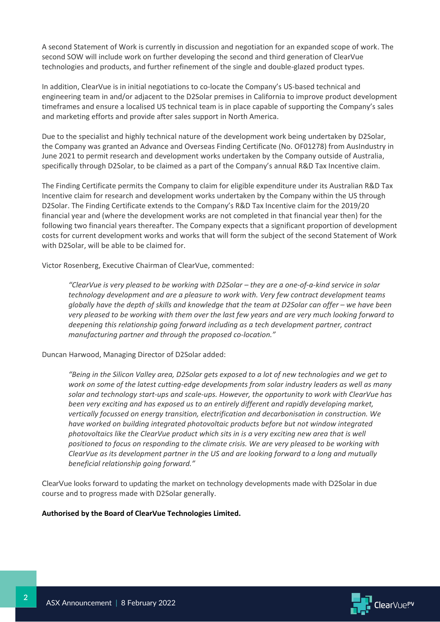A second Statement of Work is currently in discussion and negotiation for an expanded scope of work. The second SOW will include work on further developing the second and third generation of ClearVue technologies and products, and further refinement of the single and double-glazed product types.

In addition, ClearVue is in initial negotiations to co-locate the Company's US-based technical and engineering team in and/or adjacent to the D2Solar premises in California to improve product development timeframes and ensure a localised US technical team is in place capable of supporting the Company's sales and marketing efforts and provide after sales support in North America.

Due to the specialist and highly technical nature of the development work being undertaken by D2Solar, the Company was granted an Advance and Overseas Finding Certificate (No. OF01278) from AusIndustry in June 2021 to permit research and development works undertaken by the Company outside of Australia, specifically through D2Solar, to be claimed as a part of the Company's annual R&D Tax Incentive claim.

The Finding Certificate permits the Company to claim for eligible expenditure under its Australian R&D Tax Incentive claim for research and development works undertaken by the Company within the US through D2Solar. The Finding Certificate extends to the Company's R&D Tax Incentive claim for the 2019/20 financial year and (where the development works are not completed in that financial year then) for the following two financial years thereafter. The Company expects that a significant proportion of development costs for current development works and works that will form the subject of the second Statement of Work with D2Solar, will be able to be claimed for.

Victor Rosenberg, Executive Chairman of ClearVue, commented:

*"ClearVue is very pleased to be working with D2Solar – they are a one-of-a-kind service in solar technology development and are a pleasure to work with. Very few contract development teams globally have the depth of skills and knowledge that the team at D2Solar can offer – we have been very pleased to be working with them over the last few years and are very much looking forward to deepening this relationship going forward including as a tech development partner, contract manufacturing partner and through the proposed co-location."*

Duncan Harwood, Managing Director of D2Solar added:

*"Being in the Silicon Valley area, D2Solar gets exposed to a lot of new technologies and we get to work on some of the latest cutting-edge developments from solar industry leaders as well as many solar and technology start-ups and scale-ups. However, the opportunity to work with ClearVue has been very exciting and has exposed us to an entirely different and rapidly developing market, vertically focussed on energy transition, electrification and decarbonisation in construction. We have worked on building integrated photovoltaic products before but not window integrated photovoltaics like the ClearVue product which sits in is a very exciting new area that is well positioned to focus on responding to the climate crisis. We are very pleased to be working with ClearVue as its development partner in the US and are looking forward to a long and mutually beneficial relationship going forward."*

ClearVue looks forward to updating the market on technology developments made with D2Solar in due course and to progress made with D2Solar generally.

#### **Authorised by the Board of ClearVue Technologies Limited.**

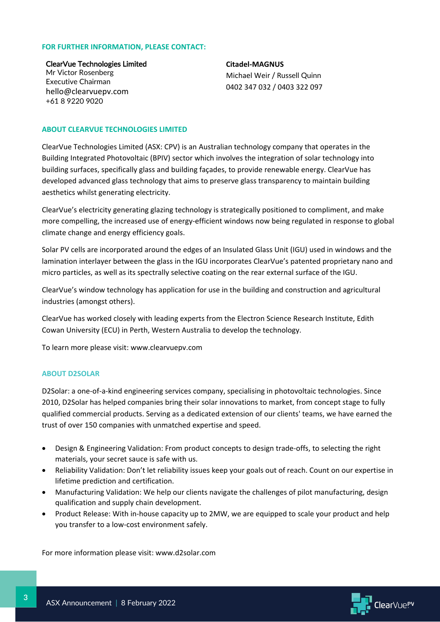#### **FOR FURTHER INFORMATION, PLEASE CONTACT:**

ClearVue Technologies Limited Mr Victor Rosenberg Executive Chairman hello@clearvuepv.com +61 8 9220 9020

**Citadel-MAGNUS** Michael Weir / Russell Quinn 0402 347 032 / 0403 322 097

#### **ABOUT CLEARVUE TECHNOLOGIES LIMITED**

ClearVue Technologies Limited (ASX: CPV) is an Australian technology company that operates in the Building Integrated Photovoltaic (BPIV) sector which involves the integration of solar technology into building surfaces, specifically glass and building façades, to provide renewable energy. ClearVue has developed advanced glass technology that aims to preserve glass transparency to maintain building aesthetics whilst generating electricity.

ClearVue's electricity generating glazing technology is strategically positioned to compliment, and make more compelling, the increased use of energy-efficient windows now being regulated in response to global climate change and energy efficiency goals.

Solar PV cells are incorporated around the edges of an Insulated Glass Unit (IGU) used in windows and the lamination interlayer between the glass in the IGU incorporates ClearVue's patented proprietary nano and micro particles, as well as its spectrally selective coating on the rear external surface of the IGU.

ClearVue's window technology has application for use in the building and construction and agricultural industries (amongst others).

ClearVue has worked closely with leading experts from the Electron Science Research Institute, Edith Cowan University (ECU) in Perth, Western Australia to develop the technology.

To learn more please visit: [www.clearvuepv.com](http://www.clearvuepv.com/)

#### **ABOUT D2SOLAR**

D2Solar: a one-of-a-kind engineering services company, specialising in photovoltaic technologies. Since 2010, D2Solar has helped companies bring their solar innovations to market, from concept stage to fully qualified commercial products. Serving as a dedicated extension of our clients' teams, we have earned the trust of over 150 companies with unmatched expertise and speed.

- Design & Engineering Validation: From product concepts to design trade-offs, to selecting the right materials, your secret sauce is safe with us.
- Reliability Validation: Don't let reliability issues keep your goals out of reach. Count on our expertise in lifetime prediction and certification.
- Manufacturing Validation: We help our clients navigate the challenges of pilot manufacturing, design qualification and supply chain development.
- Product Release: With in-house capacity up to 2MW, we are equipped to scale your product and help you transfer to a low-cost environment safely.

For more information please visit: www.d2solar.com